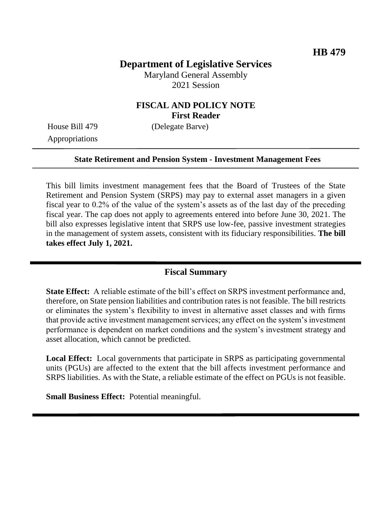# **Department of Legislative Services**

Maryland General Assembly 2021 Session

### **FISCAL AND POLICY NOTE First Reader**

Appropriations

House Bill 479 (Delegate Barve)

#### **State Retirement and Pension System - Investment Management Fees**

This bill limits investment management fees that the Board of Trustees of the State Retirement and Pension System (SRPS) may pay to external asset managers in a given fiscal year to 0.2% of the value of the system's assets as of the last day of the preceding fiscal year. The cap does not apply to agreements entered into before June 30, 2021. The bill also expresses legislative intent that SRPS use low-fee, passive investment strategies in the management of system assets, consistent with its fiduciary responsibilities. **The bill takes effect July 1, 2021.** 

#### **Fiscal Summary**

**State Effect:** A reliable estimate of the bill's effect on SRPS investment performance and, therefore, on State pension liabilities and contribution rates is not feasible. The bill restricts or eliminates the system's flexibility to invest in alternative asset classes and with firms that provide active investment management services; any effect on the system's investment performance is dependent on market conditions and the system's investment strategy and asset allocation, which cannot be predicted.

**Local Effect:** Local governments that participate in SRPS as participating governmental units (PGUs) are affected to the extent that the bill affects investment performance and SRPS liabilities. As with the State, a reliable estimate of the effect on PGUs is not feasible.

**Small Business Effect:** Potential meaningful.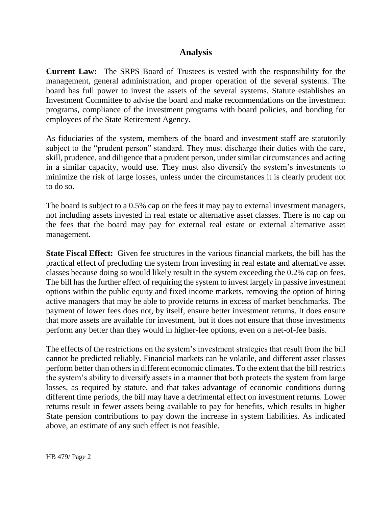### **Analysis**

**Current Law:** The SRPS Board of Trustees is vested with the responsibility for the management, general administration, and proper operation of the several systems. The board has full power to invest the assets of the several systems. Statute establishes an Investment Committee to advise the board and make recommendations on the investment programs, compliance of the investment programs with board policies, and bonding for employees of the State Retirement Agency.

As fiduciaries of the system, members of the board and investment staff are statutorily subject to the "prudent person" standard. They must discharge their duties with the care, skill, prudence, and diligence that a prudent person, under similar circumstances and acting in a similar capacity, would use. They must also diversify the system's investments to minimize the risk of large losses, unless under the circumstances it is clearly prudent not to do so.

The board is subject to a 0.5% cap on the fees it may pay to external investment managers, not including assets invested in real estate or alternative asset classes. There is no cap on the fees that the board may pay for external real estate or external alternative asset management.

**State Fiscal Effect:** Given fee structures in the various financial markets, the bill has the practical effect of precluding the system from investing in real estate and alternative asset classes because doing so would likely result in the system exceeding the 0.2% cap on fees. The bill has the further effect of requiring the system to invest largely in passive investment options within the public equity and fixed income markets, removing the option of hiring active managers that may be able to provide returns in excess of market benchmarks. The payment of lower fees does not, by itself, ensure better investment returns. It does ensure that more assets are available for investment, but it does not ensure that those investments perform any better than they would in higher-fee options, even on a net-of-fee basis.

The effects of the restrictions on the system's investment strategies that result from the bill cannot be predicted reliably. Financial markets can be volatile, and different asset classes perform better than others in different economic climates. To the extent that the bill restricts the system's ability to diversify assets in a manner that both protects the system from large losses, as required by statute, and that takes advantage of economic conditions during different time periods, the bill may have a detrimental effect on investment returns. Lower returns result in fewer assets being available to pay for benefits, which results in higher State pension contributions to pay down the increase in system liabilities. As indicated above, an estimate of any such effect is not feasible.